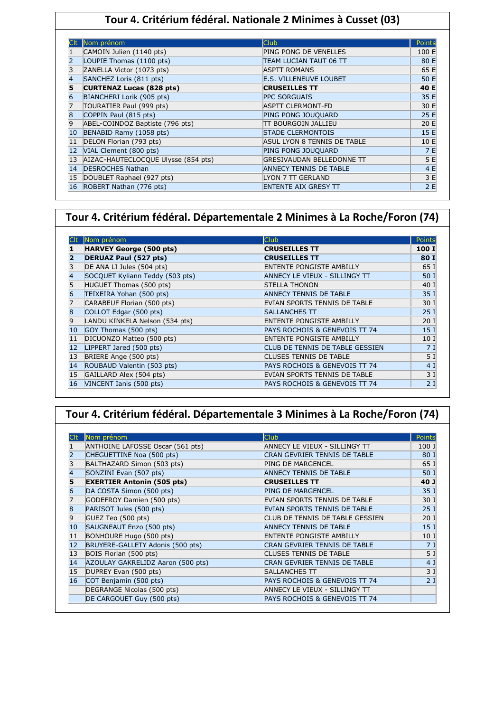### **Tour 4. Critérium fédéral. Nationale 2 Minimes à Cusset (03)**

|    | Nom prénom                          | <b>Club</b>                      | Points |
|----|-------------------------------------|----------------------------------|--------|
|    | CAMOIN Julien (1140 pts)            | <b>PING PONG DE VENELLES</b>     | 100 E  |
|    | LOUPIE Thomas (1100 pts)            | TEAM LUCIAN TAUT 06 TT           | 80 E   |
| 3  | ZANELLA Victor (1073 pts)           | <b>ASPTT ROMANS</b>              | 65 E   |
| 4  | SANCHEZ Loris (811 pts)             | <b>E.S. VILLENEUVE LOUBET</b>    | 50 E   |
| 5  | <b>CURTENAZ Lucas (828 pts)</b>     | <b>CRUSEILLES TT</b>             | 40 E   |
|    | BIANCHERI Lorik (905 pts)           | <b>PPC SORGUAIS</b>              | 35 E   |
|    | TOURATIER Paul (999 pts)            | <b>ASPTT CLERMONT-FD</b>         | 30 E   |
| 8  | COPPIN Paul (815 pts)               | PING PONG JOUQUARD               | 25 E   |
| 9  | ABEL-COINDOZ Baptiste (796 pts)     | <b>TT BOURGOIN JALLIEU</b>       | 20 E   |
| 10 | BENABID Ramy (1058 pts)             | <b>STADE CLERMONTOIS</b>         | 15 E   |
| 11 | DELON Florian (793 pts)             | ASUL LYON 8 TENNIS DE TABLE      | 10 E   |
| 12 | VIAL Clement (800 pts)              | PING PONG JOUQUARD               | 7E     |
| 13 | AIZAC-HAUTECLOCQUE Ulysse (854 pts) | <b>GRESIVAUDAN BELLEDONNE TT</b> | 5 E    |
| 14 | <b>DESROCHES Nathan</b>             | <b>ANNECY TENNIS DE TABLE</b>    | 4 E    |
| 15 | DOUBLET Raphael (927 pts)           | LYON 7 TT GERLAND                | 3 E    |
| 16 | ROBERT Nathan (776 pts)             | <b>ENTENTE AIX GRESY TT</b>      | 2E     |

### **Tour 4. Critérium fédéral. Départementale 2 Minimes à La Roche/Foron (74)**

|    | Nom prénom                      | <b>Club</b>                     | Points          |
|----|---------------------------------|---------------------------------|-----------------|
|    | <b>HARVEY George (500 pts)</b>  | <b>CRUSEILLES TT</b>            | 100 I           |
|    | <b>DERUAZ Paul (527 pts)</b>    | <b>CRUSEILLES TT</b>            | 80 I            |
|    | DE ANA LI Jules (504 pts)       | <b>ENTENTE PONGISTE AMBILLY</b> | 65 I            |
|    | SOCQUET Kyliann Teddy (503 pts) | ANNECY LE VIEUX - SILLINGY TT   | 50 I            |
|    | HUGUET Thomas (500 pts)         | <b>STELLA THONON</b>            | 40 I            |
| 6  | TEIXEIRA Yohan (500 pts)        | <b>ANNECY TENNIS DE TABLE</b>   | 35 I            |
|    | CARABEUF Florian (500 pts)      | EVIAN SPORTS TENNIS DE TABLE    | 30 I            |
| 8  | COLLOT Edgar (500 pts)          | <b>SALLANCHES TT</b>            | 25I             |
| 9  | LANDU KINKELA Nelson (534 pts)  | <b>ENTENTE PONGISTE AMBILLY</b> | 20 <sub>1</sub> |
| 10 | GOY Thomas (500 pts)            | PAYS ROCHOIS & GENEVOIS TT 74   | 15 <sub>1</sub> |
| 11 | DICUONZO Matteo (500 pts)       | ENTENTE PONGISTE AMBILLY        | 10 I            |
| 12 | LIPPERT Jared (500 pts)         | CLUB DE TENNIS DE TABLE GESSIEN | 7I              |
| 13 | BRIERE Ange (500 pts)           | CLUSES TENNIS DE TABLE          | 5 <sub>1</sub>  |
| 14 | ROUBAUD Valentin (503 pts)      | PAYS ROCHOIS & GENEVOIS TT 74   | 4 <sub>1</sub>  |
| 15 | GAILLARD Alex (504 pts)         | EVIAN SPORTS TENNIS DE TABLE    | 3I              |
| 16 | VINCENT Ianis (500 pts)         | PAYS ROCHOIS & GENEVOIS TT 74   | 2I              |

## **Tour 4. Critérium fédéral. Départementale 3 Minimes à La Roche/Foron (74)**

|    | Nom prénom                        | <b>Club</b>                         | Points          |
|----|-----------------------------------|-------------------------------------|-----------------|
|    | ANTHOINE LAFOSSE Oscar (561 pts)  | ANNECY LE VIEUX - SILLINGY TT       | 100J            |
|    | CHEGUETTINE Noa (500 pts)         | <b>CRAN GEVRIER TENNIS DE TABLE</b> | 80 J            |
|    | BALTHAZARD Simon (503 pts)        | <b>PING DE MARGENCEL</b>            | 65 J            |
| 4  | SONZINI Evan (507 pts)            | <b>ANNECY TENNIS DE TABLE</b>       | 50 J            |
|    | <b>EXERTIER Antonin (505 pts)</b> | <b>CRUSEILLES TT</b>                | 40 J            |
| 6  | DA COSTA Simon (500 pts)          | <b>PING DE MARGENCEL</b>            | 35 <sub>1</sub> |
|    | GODEFROY Damien (500 pts)         | EVIAN SPORTS TENNIS DE TABLE        | 30 J            |
| 8  | PARISOT Jules (500 pts)           | EVIAN SPORTS TENNIS DE TABLE        | 25 <sub>1</sub> |
| 9  | GUEZ Teo (500 pts)                | CLUB DE TENNIS DE TABLE GESSIEN     | 20 <sub>1</sub> |
| 10 | SAUGNEAUT Enzo (500 pts)          | <b>ANNECY TENNIS DE TABLE</b>       | 15 <sub>1</sub> |
| 11 | BONHOURE Hugo (500 pts)           | <b>ENTENTE PONGISTE AMBILLY</b>     | 10 <sub>1</sub> |
| 12 | BRUYERE-GALLETY Adonis (500 pts)  | CRAN GEVRIER TENNIS DE TABLE        | 7 <sub>1</sub>  |
| 13 | BOIS Florian (500 pts)            | <b>CLUSES TENNIS DE TABLE</b>       | 5 J             |
| 14 | AZOULAY GAKRELIDZ Aaron (500 pts) | <b>CRAN GEVRIER TENNIS DE TABLE</b> | 4 J             |
| 15 | DUPREY Evan (500 pts)             | <b>SALLANCHES TT</b>                | 3 <sub>1</sub>  |
| 16 | COT Benjamin (500 pts)            | PAYS ROCHOIS & GENEVOIS TT 74       | 2 <sub>1</sub>  |
|    | DEGRANGE Nicolas (500 pts)        | ANNECY LE VIEUX - SILLINGY TT       |                 |
|    | DE CARGOUET Guy (500 pts)         | PAYS ROCHOIS & GENEVOIS TT 74       |                 |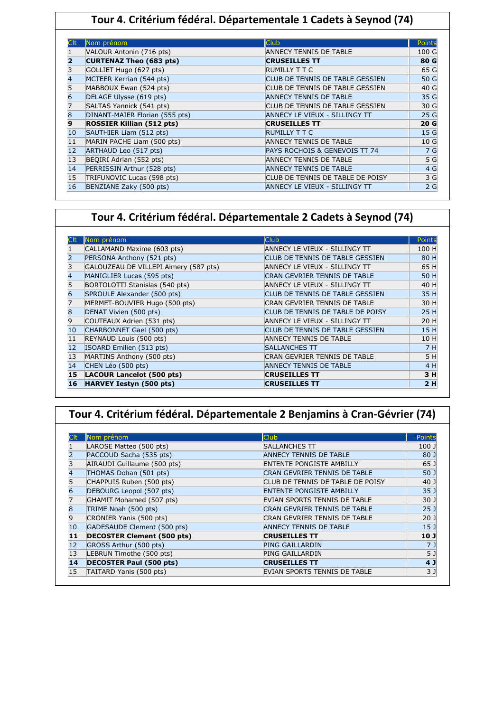## **Tour 4. Critérium fédéral. Départementale 1 Cadets à Seynod (74)**

|                   | Nom prénom                       | <b>Club</b>                      | Points         |
|-------------------|----------------------------------|----------------------------------|----------------|
|                   | VALOUR Antonin (716 pts)         | <b>ANNECY TENNIS DE TABLE</b>    | 100 G          |
|                   | CURTENAZ Theo (683 pts)          | <b>CRUSEILLES TT</b>             | 80 G           |
|                   | GOLLIET Hugo (627 pts)           | RUMILLY T T C                    | 65 G           |
|                   | MCTEER Kerrian (544 pts)         | CLUB DE TENNIS DE TABLE GESSIEN  | 50 G           |
|                   | MABBOUX Ewan (524 pts)           | CLUB DE TENNIS DE TABLE GESSIEN  | 40 G           |
| 6                 | DELAGE Ulysse (619 pts)          | <b>ANNECY TENNIS DE TABLE</b>    | 35 G           |
|                   | SALTAS Yannick (541 pts)         | CLUB DE TENNIS DE TABLE GESSIEN  | 30 G           |
| 8                 | DINANT-MAIER Florian (555 pts)   | ANNECY LE VIEUX - SILLINGY TT    | 25 G           |
| 9                 | <b>ROSSIER Killian (512 pts)</b> | <b>CRUSEILLES TT</b>             | 20 G           |
| 10                | SAUTHIER Liam (512 pts)          | <b>RUMILLY T T C</b>             | 15 G           |
| 11                | MARIN PACHE Liam (500 pts)       | <b>ANNECY TENNIS DE TABLE</b>    | 10G            |
| $12 \overline{ }$ | ARTHAUD Leo (517 pts)            | PAYS ROCHOIS & GENEVOIS TT 74    | 7 G            |
| 13                | BEQIRI Adrian (552 pts)          | <b>ANNECY TENNIS DE TABLE</b>    | 5 <sub>G</sub> |
| 14                | PERRISSIN Arthur (528 pts)       | <b>ANNECY TENNIS DE TABLE</b>    | 4 G            |
| 15                | TRIFUNOVIC Lucas (598 pts)       | CLUB DE TENNIS DE TABLE DE POISY | 3 G            |
| 16                | BENZIANE Zaky (500 pts)          | ANNECY LE VIEUX - SILLINGY TT    | 2G             |

### **Tour 4. Critérium fédéral. Départementale 2 Cadets à Seynod (74)**

|    | Nom prénom                            | <b>Club</b>                      | <b>Points</b> |
|----|---------------------------------------|----------------------------------|---------------|
|    | CALLAMAND Maxime (603 pts)            | ANNECY LE VIEUX - SILLINGY TT    | 100 H         |
|    | PERSONA Anthony (521 pts)             | CLUB DE TENNIS DE TABLE GESSIEN  | 80 H          |
|    | GALOUZEAU DE VILLEPI Aimery (587 pts) | ANNECY LE VIEUX - SILLINGY TT    | 65 H          |
| 4  | MANIGLIER Lucas (595 pts)             | CRAN GEVRIER TENNIS DE TABLE     | 50 H          |
| 5  | BORTOLOTTI Stanislas (540 pts)        | ANNECY LE VIEUX - SILLINGY TT    | 40 H          |
| 6  | SPROULE Alexander (500 pts)           | CLUB DE TENNIS DE TABLE GESSIEN  | 35 H          |
|    | MERMET-BOUVIER Hugo (500 pts)         | CRAN GEVRIER TENNIS DE TABLE     | 30 H          |
| 8  | DENAT Vivien (500 pts)                | CLUB DE TENNIS DE TABLE DE POISY | 25 H          |
| 9  | COUTEAUX Adrien (531 pts)             | ANNECY LE VIEUX - SILLINGY TT    | 20 H          |
| 10 | CHARBONNET Gael (500 pts)             | CLUB DE TENNIS DE TABLE GESSIEN  | 15 H          |
| 11 | REYNAUD Louis (500 pts)               | ANNECY TENNIS DE TABLE           | 10 H          |
| 12 | ISOARD Emilien (513 pts)              | <b>SALLANCHES TT</b>             | 7 H           |
| 13 | MARTINS Anthony (500 pts)             | CRAN GEVRIER TENNIS DE TABLE     | 5H            |
| 14 | CHEN Léo (500 pts)                    | <b>ANNECY TENNIS DE TABLE</b>    | 4 H           |
| 15 | LACOUR Lancelot (500 pts)             | <b>CRUSEILLES TT</b>             | 3 H           |
| 16 | <b>HARVEY Iestyn (500 pts)</b>        | <b>CRUSEILLES TT</b>             | 2H            |

# **Tour 4. Critérium fédéral. Départementale 2 Benjamins à Cran-Gévrier (74)**

|    | Nom prénom                        | <b>Club</b>                         | Points          |
|----|-----------------------------------|-------------------------------------|-----------------|
|    | LAROSE Matteo (500 pts)           | <b>SALLANCHES TT</b>                | 100 J           |
|    | PACCOUD Sacha (535 pts)           | <b>ANNECY TENNIS DE TABLE</b>       | 80 J            |
|    | AIRAUDI Guillaume (500 pts)       | <b>ENTENTE PONGISTE AMBILLY</b>     | 65 J            |
|    | THOMAS Dohan (501 pts)            | <b>CRAN GEVRIER TENNIS DE TABLE</b> | 50 <sub>1</sub> |
|    | CHAPPUIS Ruben (500 pts)          | CLUB DE TENNIS DE TABLE DE POISY    | 40 J            |
| 6  | DEBOURG Leopol (507 pts)          | <b>ENTENTE PONGISTE AMBILLY</b>     | 35 <sub>1</sub> |
|    | GHAMIT Mohamed (507 pts)          | EVIAN SPORTS TENNIS DE TABLE        | 30 J            |
| 8  | TRIME Noah (500 pts)              | <b>CRAN GEVRIER TENNIS DE TABLE</b> | 25 <sub>1</sub> |
| 9  | CRONIER Yanis (500 pts)           | CRAN GEVRIER TENNIS DE TABLE        | 20 <sub>1</sub> |
| 10 | GADESAUDE Clement (500 pts)       | <b>ANNECY TENNIS DE TABLE</b>       | 15 <sub>1</sub> |
| 11 | <b>DECOSTER Clement (500 pts)</b> | <b>CRUSEILLES TT</b>                | 10 <sub>J</sub> |
| 12 | GROSS Arthur (500 pts)            | <b>PING GAILLARDIN</b>              | 7 J             |
| 13 | LEBRUN Timothe (500 pts)          | <b>PING GAILLARDIN</b>              | 5 J             |
| 14 | <b>DECOSTER Paul (500 pts)</b>    | <b>CRUSEILLES TT</b>                | 4 <sub>1</sub>  |
| 15 | TAITARD Yanis (500 pts)           | EVIAN SPORTS TENNIS DE TABLE        | 3 <sub>1</sub>  |

I